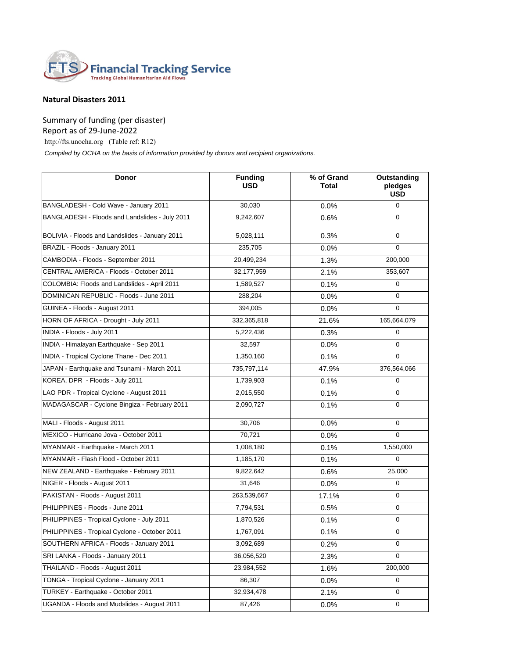

## **Natural Disasters 2011**

Summary of funding (per disaster)

Report as of 29-June-2022

http://fts.unocha.org (Table ref: R12)

 *Compiled by OCHA on the basis of information provided by donors and recipient organizations.*

| <b>Donor</b>                                   | <b>Funding</b><br><b>USD</b> | % of Grand<br>Total | Outstanding<br>pledges<br><b>USD</b> |
|------------------------------------------------|------------------------------|---------------------|--------------------------------------|
| BANGLADESH - Cold Wave - January 2011          | 30,030                       | 0.0%                | $\mathbf 0$                          |
| BANGLADESH - Floods and Landslides - July 2011 | 9,242,607                    | 0.6%                | $\mathbf 0$                          |
| BOLIVIA - Floods and Landslides - January 2011 | 5,028,111                    | 0.3%                | $\mathbf 0$                          |
| BRAZIL - Floods - January 2011                 | 235,705                      | 0.0%                | $\mathbf 0$                          |
| CAMBODIA - Floods - September 2011             | 20,499,234                   | 1.3%                | 200,000                              |
| CENTRAL AMERICA - Floods - October 2011        | 32,177,959                   | 2.1%                | 353,607                              |
| COLOMBIA: Floods and Landslides - April 2011   | 1,589,527                    | 0.1%                | $\mathbf 0$                          |
| DOMINICAN REPUBLIC - Floods - June 2011        | 288,204                      | $0.0\%$             | $\mathbf 0$                          |
| GUINEA - Floods - August 2011                  | 394,005                      | 0.0%                | $\mathbf 0$                          |
| HORN OF AFRICA - Drought - July 2011           | 332,365,818                  | 21.6%               | 165,664,079                          |
| INDIA - Floods - July 2011                     | 5,222,436                    | 0.3%                | $\mathbf 0$                          |
| INDIA - Himalayan Earthquake - Sep 2011        | 32,597                       | 0.0%                | $\mathbf 0$                          |
| INDIA - Tropical Cyclone Thane - Dec 2011      | 1,350,160                    | 0.1%                | $\mathbf 0$                          |
| JAPAN - Earthquake and Tsunami - March 2011    | 735,797,114                  | 47.9%               | 376,564,066                          |
| KOREA, DPR - Floods - July 2011                | 1,739,903                    | 0.1%                | $\mathbf 0$                          |
| LAO PDR - Tropical Cyclone - August 2011       | 2,015,550                    | 0.1%                | $\mathbf 0$                          |
| MADAGASCAR - Cyclone Bingiza - February 2011   | 2,090,727                    | 0.1%                | $\mathbf 0$                          |
| MALI - Floods - August 2011                    | 30,706                       | 0.0%                | $\mathbf 0$                          |
| MEXICO - Hurricane Jova - October 2011         | 70,721                       | 0.0%                | $\mathbf 0$                          |
| MYANMAR - Earthquake - March 2011              | 1,008,180                    | 0.1%                | 1,550,000                            |
| MYANMAR - Flash Flood - October 2011           | 1,185,170                    | 0.1%                | $\mathbf 0$                          |
| NEW ZEALAND - Earthquake - February 2011       | 9,822,642                    | 0.6%                | 25,000                               |
| NIGER - Floods - August 2011                   | 31,646                       | 0.0%                | $\mathbf 0$                          |
| PAKISTAN - Floods - August 2011                | 263,539,667                  | 17.1%               | $\mathbf 0$                          |
| PHILIPPINES - Floods - June 2011               | 7,794,531                    | 0.5%                | $\mathbf 0$                          |
| PHILIPPINES - Tropical Cyclone - July 2011     | 1,870,526                    | 0.1%                | 0                                    |
| PHILIPPINES - Tropical Cyclone - October 2011  | 1,767,091                    | 0.1%                | 0                                    |
| SOUTHERN AFRICA - Floods - January 2011        | 3,092,689                    | 0.2%                | $\mathbf 0$                          |
| SRI LANKA - Floods - January 2011              | 36,056,520                   | 2.3%                | $\mathbf 0$                          |
| THAILAND - Floods - August 2011                | 23,984,552                   | 1.6%                | 200,000                              |
| TONGA - Tropical Cyclone - January 2011        | 86,307                       | 0.0%                | $\mathbf 0$                          |
| TURKEY - Earthquake - October 2011             | 32,934,478                   | 2.1%                | 0                                    |
| UGANDA - Floods and Mudslides - August 2011    | 87,426                       | 0.0%                | 0                                    |